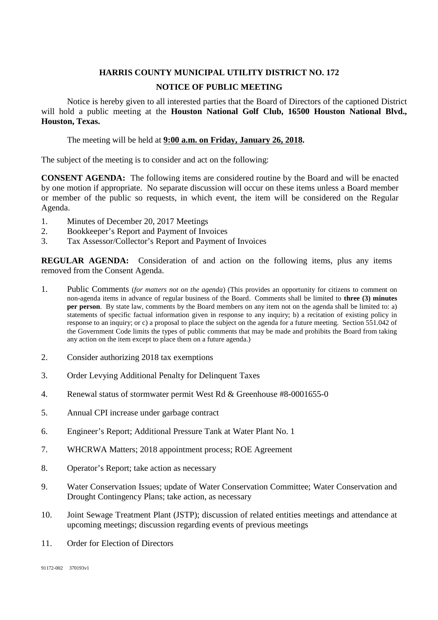## **HARRIS COUNTY MUNICIPAL UTILITY DISTRICT NO. 172 NOTICE OF PUBLIC MEETING**

Notice is hereby given to all interested parties that the Board of Directors of the captioned District will hold a public meeting at the **Houston National Golf Club, 16500 Houston National Blvd., Houston, Texas.**

The meeting will be held at **9:00 a.m. on Friday, January 26, 2018.**

The subject of the meeting is to consider and act on the following:

**CONSENT AGENDA:** The following items are considered routine by the Board and will be enacted by one motion if appropriate. No separate discussion will occur on these items unless a Board member or member of the public so requests, in which event, the item will be considered on the Regular Agenda.

- 1. Minutes of December 20, 2017 Meetings
- 2. Bookkeeper's Report and Payment of Invoices
- 3. Tax Assessor/Collector's Report and Payment of Invoices

**REGULAR AGENDA:** Consideration of and action on the following items, plus any items removed from the Consent Agenda.

- 1. Public Comments (*for matters not on the agenda*) (This provides an opportunity for citizens to comment on non-agenda items in advance of regular business of the Board. Comments shall be limited to **three (3) minutes per person**. By state law, comments by the Board members on any item not on the agenda shall be limited to: a) statements of specific factual information given in response to any inquiry; b) a recitation of existing policy in response to an inquiry; or c) a proposal to place the subject on the agenda for a future meeting. Section 551.042 of the Government Code limits the types of public comments that may be made and prohibits the Board from taking any action on the item except to place them on a future agenda.)
- 2. Consider authorizing 2018 tax exemptions
- 3. Order Levying Additional Penalty for Delinquent Taxes
- 4. Renewal status of stormwater permit West Rd & Greenhouse #8-0001655-0
- 5. Annual CPI increase under garbage contract
- 6. Engineer's Report; Additional Pressure Tank at Water Plant No. 1
- 7. WHCRWA Matters; 2018 appointment process; ROE Agreement
- 8. Operator's Report; take action as necessary
- 9. Water Conservation Issues; update of Water Conservation Committee; Water Conservation and Drought Contingency Plans; take action, as necessary
- 10. Joint Sewage Treatment Plant (JSTP); discussion of related entities meetings and attendance at upcoming meetings; discussion regarding events of previous meetings
- 11. Order for Election of Directors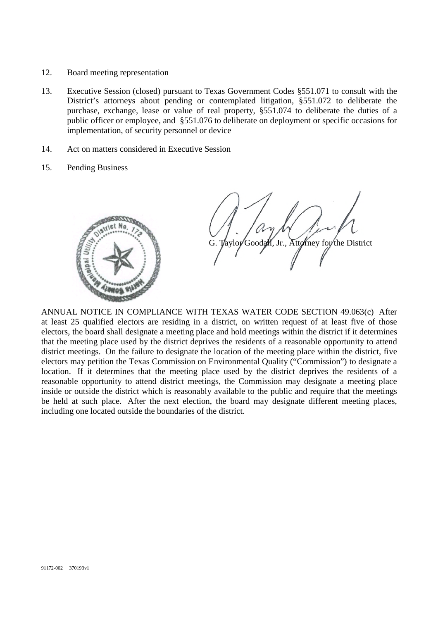- 12. Board meeting representation
- 13. Executive Session (closed) pursuant to Texas Government Codes §551.071 to consult with the District's attorneys about pending or contemplated litigation, §551.072 to deliberate the purchase, exchange, lease or value of real property, §551.074 to deliberate the duties of a public officer or employee, and §551.076 to deliberate on deployment or specific occasions for implementation, of security personnel or device
- 14. Act on matters considered in Executive Session
- 15. Pending Business



Taylor Goodall, Jr., Attorney for the District

ANNUAL NOTICE IN COMPLIANCE WITH TEXAS WATER CODE SECTION 49.063(c) After at least 25 qualified electors are residing in a district, on written request of at least five of those electors, the board shall designate a meeting place and hold meetings within the district if it determines that the meeting place used by the district deprives the residents of a reasonable opportunity to attend district meetings. On the failure to designate the location of the meeting place within the district, five electors may petition the Texas Commission on Environmental Quality ("Commission") to designate a location. If it determines that the meeting place used by the district deprives the residents of a reasonable opportunity to attend district meetings, the Commission may designate a meeting place inside or outside the district which is reasonably available to the public and require that the meetings be held at such place. After the next election, the board may designate different meeting places, including one located outside the boundaries of the district.